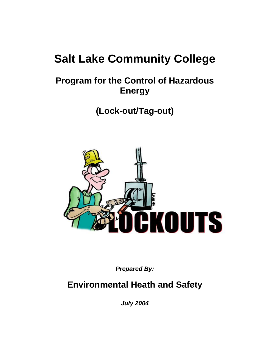# **Salt Lake Community College**

# **Program for the Control of Hazardous Energy**

**(Lock-out/Tag-out)**



*Prepared By:*

## **Environmental Heath and Safety**

*July 2004*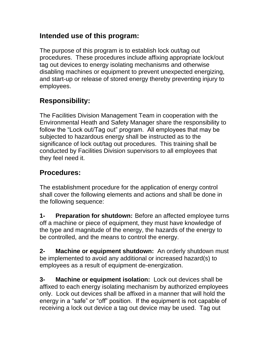#### **Intended use of this program:**

The purpose of this program is to establish lock out/tag out procedures. These procedures include affixing appropriate lock/out tag out devices to energy isolating mechanisms and otherwise disabling machines or equipment to prevent unexpected energizing, and start-up or release of stored energy thereby preventing injury to employees.

### **Responsibility:**

The Facilities Division Management Team in cooperation with the Environmental Heath and Safety Manager share the responsibility to follow the "Lock out/Tag out" program. All employees that may be subjected to hazardous energy shall be instructed as to the significance of lock out/tag out procedures. This training shall be conducted by Facilities Division supervisors to all employees that they feel need it.

### **Procedures:**

The establishment procedure for the application of energy control shall cover the following elements and actions and shall be done in the following sequence:

**1- Preparation for shutdown:** Before an affected employee turns off a machine or piece of equipment, they must have knowledge of the type and magnitude of the energy, the hazards of the energy to be controlled, and the means to control the energy.

**2- Machine or equipment shutdown:** An orderly shutdown must be implemented to avoid any additional or increased hazard(s) to employees as a result of equipment de-energization.

**3- Machine or equipment isolation:** Lock out devices shall be affixed to each energy isolating mechanism by authorized employees only. Lock out devices shall be affixed in a manner that will hold the energy in a "safe" or "off" position. If the equipment is not capable of receiving a lock out device a tag out device may be used. Tag out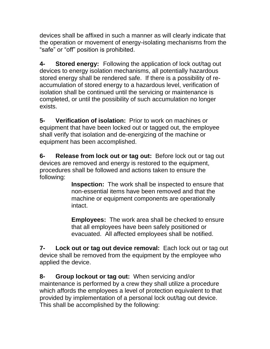devices shall be affixed in such a manner as will clearly indicate that the operation or movement of energy-isolating mechanisms from the "safe" or "off" position is prohibited.

**4- Stored energy:** Following the application of lock out/tag out devices to energy isolation mechanisms, all potentially hazardous stored energy shall be rendered safe. If there is a possibility of reaccumulation of stored energy to a hazardous level, verification of isolation shall be continued until the servicing or maintenance is completed, or until the possibility of such accumulation no longer exists.

**5- Verification of isolation:** Prior to work on machines or equipment that have been locked out or tagged out, the employee shall verify that isolation and de-energizing of the machine or equipment has been accomplished.

**6- Release from lock out or tag out:** Before lock out or tag out devices are removed and energy is restored to the equipment, procedures shall be followed and actions taken to ensure the following:

> **Inspection:** The work shall be inspected to ensure that non-essential items have been removed and that the machine or equipment components are operationally intact.

> **Employees:** The work area shall be checked to ensure that all employees have been safely positioned or evacuated. All affected employees shall be notified.

**7- Lock out or tag out device removal:** Each lock out or tag out device shall be removed from the equipment by the employee who applied the device.

**8- Group lockout or tag out:** When servicing and/or maintenance is performed by a crew they shall utilize a procedure which affords the employees a level of protection equivalent to that provided by implementation of a personal lock out/tag out device. This shall be accomplished by the following: